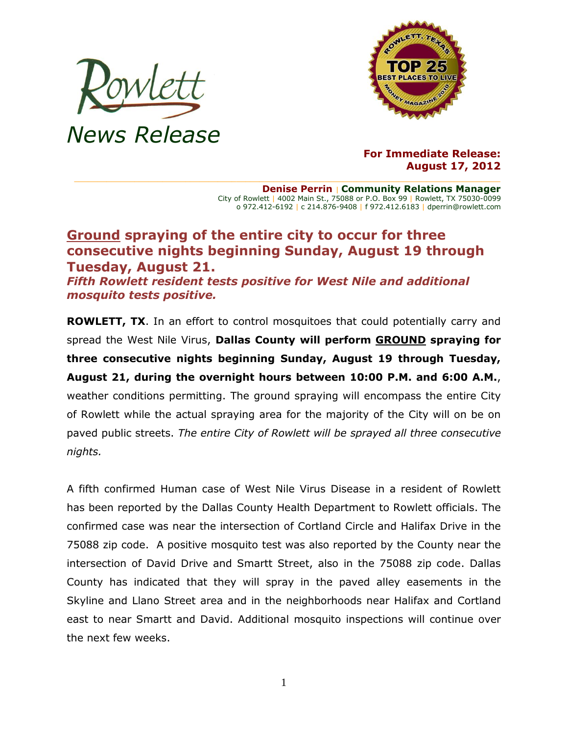



**For Immediate Release: August 17, 2012**

**Denise Perrin** | **Community Relations Manager** City of Rowlett | 4002 Main St., 75088 or P.O. Box 99 | Rowlett, TX 75030-0099 o 972.412-6192 | c 214.876-9408 | f 972.412.6183 | dperrin@rowlett.com

## **Ground spraying of the entire city to occur for three consecutive nights beginning Sunday, August 19 through Tuesday, August 21.**

*Fifth Rowlett resident tests positive for West Nile and additional mosquito tests positive.*

**ROWLETT, TX**. In an effort to control mosquitoes that could potentially carry and spread the West Nile Virus, **Dallas County will perform GROUND spraying for three consecutive nights beginning Sunday, August 19 through Tuesday, August 21, during the overnight hours between 10:00 P.M. and 6:00 A.M.**, weather conditions permitting. The ground spraying will encompass the entire City of Rowlett while the actual spraying area for the majority of the City will on be on paved public streets. *The entire City of Rowlett will be sprayed all three consecutive nights.*

A fifth confirmed Human case of West Nile Virus Disease in a resident of Rowlett has been reported by the Dallas County Health Department to Rowlett officials. The confirmed case was near the intersection of Cortland Circle and Halifax Drive in the 75088 zip code. A positive mosquito test was also reported by the County near the intersection of David Drive and Smartt Street, also in the 75088 zip code. Dallas County has indicated that they will spray in the paved alley easements in the Skyline and Llano Street area and in the neighborhoods near Halifax and Cortland east to near Smartt and David. Additional mosquito inspections will continue over the next few weeks.